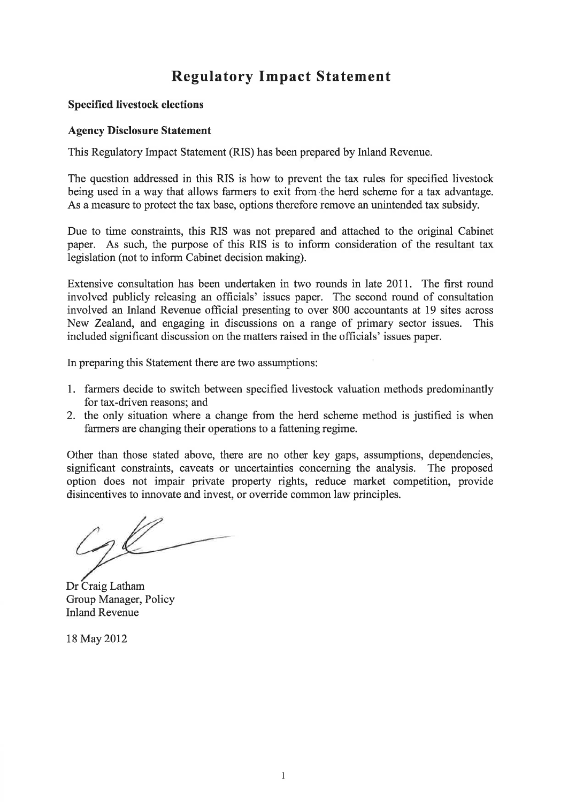# Regulatory Impact Statement

#### Specified livestock elections

#### **Agency Disclosure Statement**

This Regulatory Impact Statement (RIS) has been prepared by Inland Revenue.

The question addressed in this RIS is how to prevent the tax rules for specified livestock being used in a way that allows farmers to exit from the herd scheme for a tax advantage. As a measure to protect the tax base, options therefore remove an unintended tax subsidy.

Due to time constraints, this RIS was not prepared and attached to the original Cabinet paper. As such, the purpose of this RIS is to inform consideration of the resultant tax legislation (not to inform Cabinet decision making).

Extensive consultation has been undertaken in two rounds in late 2011. The first round involved publicly releasing an officials' issues paper. The second round of consultation involved an Írland Revenue official presenting to over 800 accountants at 19 sites across New Zealand, and engaging in discussions on a range of primary sector issues. This included significant discussion on the matters raised in the officials' issues paper.

In preparing this Statement there are two assumptions:

- 1. farmers decide to switch between specified livestock valuation methods predominantly for tax-driven reasons; and
- 2. the only situation where a change from the herd scheme method is justified is when farmers are changing their operations to a fattening regime.

Other than those stated above, there are no other key gaps, assumptions, dependencies, significant constraints, caveats or uncertainties concerning the analysis. The proposed option does not impair private property rights, reduce market competition, provide disincentives to innovate and invest, or override common law principles.

gl

Dr Craig Latham Group Manager, Policy Inland Revenue

18 May 2012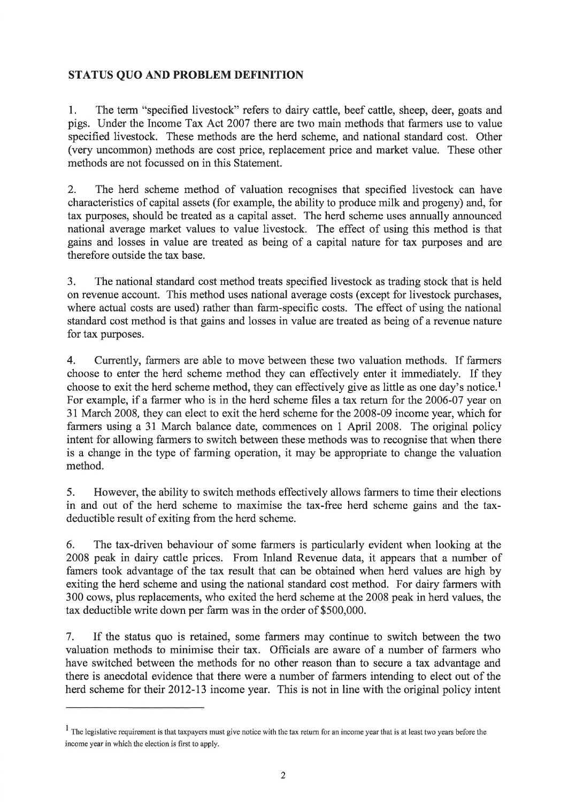## STATUS QUO AND PROBLEM DEFINITION

1. The term "specified livestock" refers to dairy cattle, beef cattle, sheep, deer, goats and pigs. Under the Income Tax Act 2007 there are two main methods that farmers use to value specified livestock. These methods are the herd scheme, and national standard cost. Other (very uncommon) methods are cost price, replacement price and market value. These other methods are not focussed on in this Statement.

2. The herd scheme method of valuation recognises that specified livestock can have characteristics of capital assets (for example, the ability to produce milk and progeny) and, for tax purposes, should be treated as a capital asset. The herd scheme uses annually announced national average market values to value livestock. The effect of using this method is that gains and losses in value are treated as being of a capital nature for tax purposes and are therefore outside the tax base.

3. The national standard cost method treats specified livestock as trading stock that is held on revenue account. This method uses national average costs (except for livestock purchases, where actual costs are used) rather than farm-specific costs. The effect of using the national standard cost method is that gains and losses in value are treated as being of a revenue nature for tax purposes.

4. Currently, farmers are able to move between these two valuation methods. If farmers choose to enter the herd scherne method they can effectively enter it immediately. If they choose to exit the herd scheme method, they can effectively give as little as one day's notice.<sup>1</sup> For example, if a farmer who is in the herd scheme files a tax return for the 2006-07 year on 31 March 2008, they can elect to exit the herd scheme for the 2008-09 income year, which for farmers using a 31 March balance date, commences on 1 April 2008. The original policy intent for allowing farmers to switch between these methods was to recognise that when there is a change in the type of farming operation, it may be appropriate to change the valuation method.

5. However, the ability to switch methods effectively allows farmers to time their elections in and out of the herd scheme to maximise the tax-free herd scheme gains and the taxdeductible result of exiting from the herd scheme.

6. The tax-driven behaviour of some farmers is particularly evident when looking at the 2008 peak in dairy cattle prices. From Inland Revenue data, it appears that a number of famers took advantage of the tax result that can be obtained when herd values are high by exiting the herd scheme and using the national standard cost method. For dairy farmers with 300 cows, plus replacements, who exited the herd scheme at the 2008 peak in herd values, the tax deductible write down per farm was in the order of \$500,000.

7. If the status quo is retained, some farmers may continue to switch between the two valuation methods to minimise their tax. Officials are aware of a number of farmers who have switched between the methods for no other reason than to secure a tax advantage and there is anecdotal evidence that there were a number of farmers intending to elect out of the herd scheme for their 2012-13 income year. This is not in line with the original policy intent

 $<sup>1</sup>$  The legislative requirement is that taxpayers must give notice with the tax return for an income year that is at least two years before the</sup> income year in which the election is fint to apply.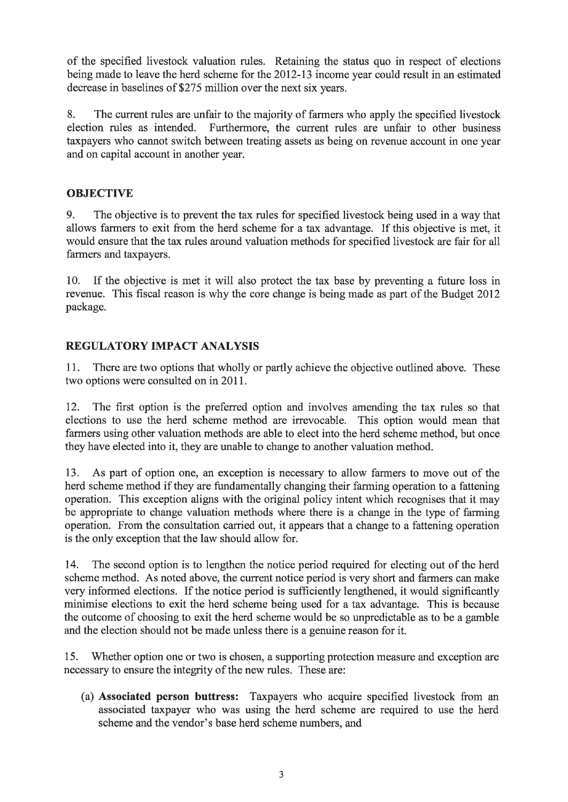of the specified livestock valuation rules. Retaining the status quo in respect of elections being made to leave the herd scheme for the 2012-13 income year could result in an estimated decrease in baselines of \$275 million over the next six years.

8. The current rules are unfair to the majority of farmers who apply the specified livestock election rules as intended. Furthermore, the current rules are unfair to other business taxpayers who cannot switch between treating assets as being on revenue account in one year and on capital account in another year.

# **OBJECTIVE**

9. The objective is to prevent the tax rules for specified livestock being used in a way that allows farmers to exit from the herd scheme for a tax advantage. If this objective is met, it would ensure that the tax rules around valuation methods for specified livestock are fair for all farmers and taxpayers.

10. If the objective is met it will also protect the tax base by preventing a future loss in revenue. This fiscal reason is why the core change is being made as part of the Budget 2012 package.

# REGULATORY IMPACT ANALYSIS

11. There are two options that wholly or partly achieve the objective outlined above. These two options were consulted on in 2011.

12. The first option is the preferred option and involves amending the tax rules so that elections to use the herd scheme method are irrevocable. This option would mean that farmers using other valuation methods are able to elect into the herd scheme method, but once they have elected into it, they are unable to change to another valuation method.

13. As part of option one, an exception is necessary to allow farmers to move out of the herd scheme method if they are fundamentally changing their farming operation to a fattening operation. This exception aligns with the original policy intent which recognises that it may be appropriate to change valuation methods where there is a change in the type of farming operation. From the consultation carried out, it appears that a change to a fattening operation is the only exception that the law should allow for.

14. The second option is to lengthen the notice period required for electing out of the herd scheme method. As noted above, the current notice period is very short and farmers can make very informed elections. If the notice period is sufficiently lengthened, it would significantly minimise elections to exit the herd scheme being used for a tax advantage. This is because the outcome of choosing to exit the herd scheme would be so unpredictable as to be a gamble and the election should not be made unless there is a genuine reason for it.

15. Whether option one or two is chosen, a supporting protection measure and exception are necessary to ensure the integrity of the new rules. These are:

(a) Associated person buttress: Taxpayers who acquire specified livestock from an associated taxpayer who was using the herd scheme are required to use the herd scheme and the vendor's base herd scheme numbers, and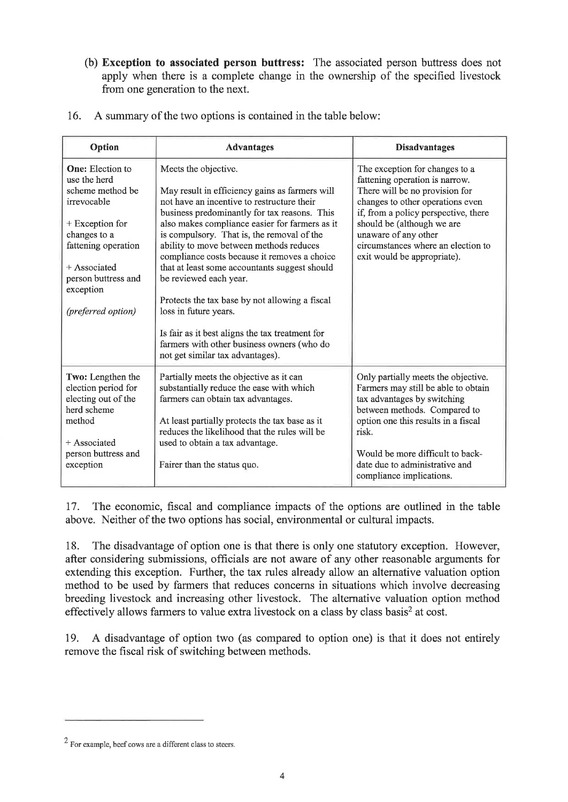(b) Exception to associated person buttress: The associated person buttress does not apply when there is a complete change in the ownership of the specified livestock from one generation to the next.

|  | 16. A summary of the two options is contained in the table below: |  |  |  |
|--|-------------------------------------------------------------------|--|--|--|
|--|-------------------------------------------------------------------|--|--|--|

| Option                                                                                                                                                                                                             | <b>Advantages</b>                                                                                                                                                                                                                                                                                                                                                                                                                                                                                                                                                                                                                                          | <b>Disadvantages</b>                                                                                                                                                                                                                                                                                      |
|--------------------------------------------------------------------------------------------------------------------------------------------------------------------------------------------------------------------|------------------------------------------------------------------------------------------------------------------------------------------------------------------------------------------------------------------------------------------------------------------------------------------------------------------------------------------------------------------------------------------------------------------------------------------------------------------------------------------------------------------------------------------------------------------------------------------------------------------------------------------------------------|-----------------------------------------------------------------------------------------------------------------------------------------------------------------------------------------------------------------------------------------------------------------------------------------------------------|
| <b>One:</b> Election to<br>use the herd<br>scheme method be<br>irrevocable<br>$+$ Exception for<br>changes to a<br>fattening operation<br>$+$ Associated<br>person buttress and<br>exception<br>(preferred option) | Meets the objective.<br>May result in efficiency gains as farmers will<br>not have an incentive to restructure their<br>business predominantly for tax reasons. This<br>also makes compliance easier for farmers as it<br>is compulsory. That is, the removal of the<br>ability to move between methods reduces<br>compliance costs because it removes a choice<br>that at least some accountants suggest should<br>be reviewed each year.<br>Protects the tax base by not allowing a fiscal<br>loss in future years.<br>Is fair as it best aligns the tax treatment for<br>farmers with other business owners (who do<br>not get similar tax advantages). | The exception for changes to a<br>fattening operation is narrow.<br>There will be no provision for<br>changes to other operations even<br>if, from a policy perspective, there<br>should be (although we are<br>unaware of any other<br>circumstances where an election to<br>exit would be appropriate). |
| Two: Lengthen the<br>election period for<br>electing out of the<br>herd scheme<br>method<br>+ Associated<br>person buttress and<br>exception                                                                       | Partially meets the objective as it can<br>substantially reduce the ease with which<br>farmers can obtain tax advantages.<br>At least partially protects the tax base as it<br>reduces the likelihood that the rules will be<br>used to obtain a tax advantage.<br>Fairer than the status quo.                                                                                                                                                                                                                                                                                                                                                             | Only partially meets the objective.<br>Farmers may still be able to obtain<br>tax advantages by switching<br>between methods. Compared to<br>option one this results in a fiscal<br>risk.<br>Would be more difficult to back-<br>date due to administrative and<br>compliance implications.               |

17. The economic, fiscal and compliance impacts of the options are outlined in the table above. Neither of the two options has social, environmental or cultural impacts.

18. The disadvantage of option one is that there is only one statutory exception. However, after considering submissions, officials are not aware of any other reasonable arguments for extending this exception. Further, the tax rules already allow an alternative valuation option method to be used by farmers that reduces concems in situations which involve decreasing breeding livestock and increasing other livestock. The alternative valuation option method effectively allows farmers to value extra livestock on a class by class basis2 at cost.

19. A disadvantage of option two (as compared to option one) is that it does not entirely remove the fiscal risk of switching between methods.

 $2$  For example, beef cows are a different class to steers.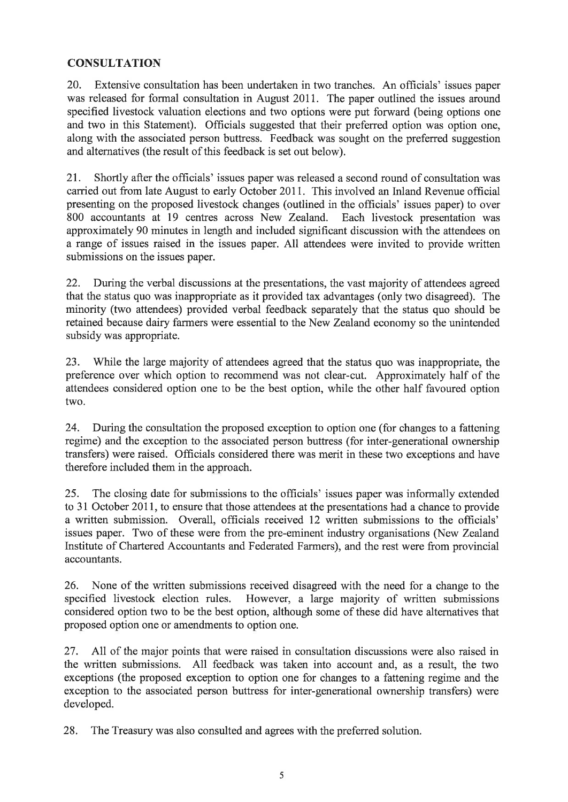## **CONSULTATION**

20. Extensive consultation has been undertaken in two tranches. An officials' issues paper was released for formal consultation in August 2011. The paper outlined the issues around specified livestock valuation elections and two options were put forward (being options one and two in this Statement). Officials suggested that their preferred option was option one, along with the associated person buttress. Feedback was sought on the preferred suggestion and alternatives (the result of this feedback is set out below).

21. Shortly after the officials' issues paper was released a second round of consultation was carried out from late August to early October 2011. This involved an Inland Revenue official presenting on the proposed livestock changes (outlined in the officials' issues paper) to over 800 accountants at 19 centres across New Zealand. Each livestock presentation was 800 accountants at 19 centres across New Zealand. approximately 90 minutes in length and included significant discussion with the attendees on a raruge of issues raised in the issues paper. All attendees were invited to provide written submissions on the issues paper.

22. During the verbal discussions at the presentations, the vast majority of attendees agreed that the status quo was inappropriate as it provided lax advantages (only two disagreed). The minority (two attendees) provided verbal feedback separately that the status quo should be retained because dairy farmers were essential to the New Zealand economy so the unintended subsidy was appropriate.

23. While the large majority of attendees agreed that the status quo was inappropriate, the preference over which option to recommend was not clear-cut. Approximately half of the attendees considered option one to be the best option, while the other half favoured option two.

24. During the consultation the proposed exception to option one (for changes to a fattening regime) and the exception to the associated person buttress (for inter-generational ownership transfers) were raised. Officials considered there was merit in these two exceptions and have therefore included them in the approach.

25. The closing date for submissions to the officials' issues paper was informally extended to 31 October 2011, to ensure that those attendees at the presentations had a chance to provide a written submission. Overall, officials received 12 written submissions to the officials' issues paper. Two of these were from the pre-eminent industry organisations (New Zealand Institute of Chartered Accountants and Federated Farmers), and the rest were from provincial accountants.

26. None of the written submissions received disagreed with the need for a change to the specified livestock election rules. However, a large majority of written submissions considered option two to be the best option, although some of these did have alternatives that proposed option one or amendments to option one.

27. All of the major points that were raised in consultation discussions were also raised in the written submissions. All feedback was taken into account and, as a result, the two exceptions (the proposed exception to option one for changes to a fattening regime and the exception to the associated person buttress for inter-generational ownership transfers) were developed.

28. The Treasury was also consulted and agrees with the preferred solution.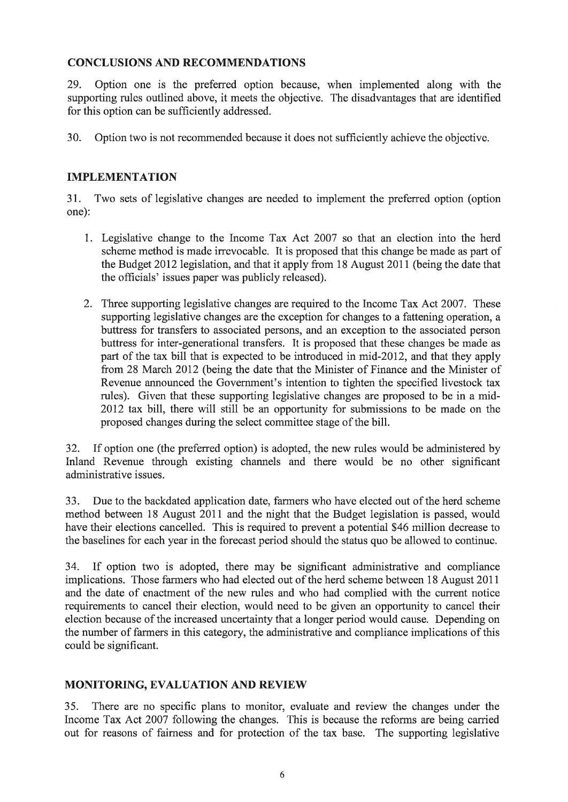### CONCLUSIONS AND RECOMMENDATIONS

29. Option one is the preferred option because, when implemented along with the supporting rules outlined above, it meets the objective. The disadvantages that are identified for this option can be sufficiently addressed.

30. Option two is not recommended because it does not sufficiently achieve the objective.

### IMPLEMENTATION

31. Two sets of legislative changes are needed to implement the preferred option (option one):

- 1. Legislative change to the Income Tax Act 2007 so that an election into the herd scheme method is made irrevocable. It is proposed that this change be made as part of the Budget 2012 legislation, and that it apply from 18 August 2011 (being the date that the officials' issues paper was publicly released).
- 2. Three supporting legislative changes are required to the Income Tax Act 2007. These supporting legislative changes are the exception for changes to a fattening operation, a buttress for transfers to associated persons, and an exception to the associated person buttress for inter-generational transfers. It is proposed that these changes be made as part of the tax bill that is expected to be introduced in mid-20l2, and that they apply from 28 March 2012 (being the date that the Minister of Finance and the Minister of Revenue announced the Government's intention to tighten the specified livestock tax rules). Given that these supporting legislative changes are proposed to be in a mid-2012 tax bill, there will still be an opportunity for submissions to be made on the proposed changes during the select committee stage of the bill.

32. If option one (the preferred option) is adopted, the new rules would be administered by Inland Revenue through existing channels and there would be no other significant administrative issues.

33. Due to the backdated application date, farmers who have elected out of the herd scheme method between 18 August 20ll and the night that the Budget legislation is passed, would have their elections cancelled. This is required to prevent a potential \$46 million decrease to the baselines for each year in the forecast period should the status quo be allowed to continue.

34. If option two is adopted, there may be significant administrative and compliance implications. Those farmers who had elected out of the herd scheme between 18 August 2011 and the date of enactment of the new rules and who had complied with the current notice requirements to cancel their election, would need to be given an opportunity to cancel their election because of the increased uncertainty that a longer period would cause. Depending on the number of farmers in this category, the administrative and compliance implications of this could be significant.

#### MONITORING, EVALUATION AND REVIEW

35. There are no specific plans to monitor, evaluate and review the changes under the Income Tax Act 2007 following the changes. This is because the reforms are being carried out for reasons of fairness and for protection of the tax base. The supporting legislative